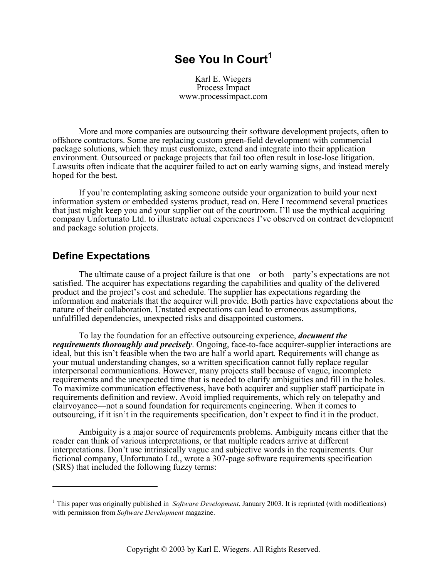# **See You In Court<sup>1</sup>**

Karl E. Wiegers Process Impact www.processimpact.com

More and more companies are outsourcing their software development projects, often to offshore contractors. Some are replacing custom green-field development with commercial package solutions, which they must customize, extend and integrate into their application environment. Outsourced or package projects that fail too often result in lose-lose litigation. Lawsuits often indicate that the acquirer failed to act on early warning signs, and instead merely hoped for the best.

If you're contemplating asking someone outside your organization to build your next information system or embedded systems product, read on. Here I recommend several practices that just might keep you and your supplier out of the courtroom. I'll use the mythical acquiring company Unfortunato Ltd. to illustrate actual experiences I've observed on contract development and package solution projects.

#### **Define Expectations**

 $\overline{a}$ 

The ultimate cause of a project failure is that one—or both—party's expectations are not satisfied. The acquirer has expectations regarding the capabilities and quality of the delivered product and the project's cost and schedule. The supplier has expectations regarding the information and materials that the acquirer will provide. Both parties have expectations about the nature of their collaboration. Unstated expectations can lead to erroneous assumptions, unfulfilled dependencies, unexpected risks and disappointed customers.

To lay the foundation for an effective outsourcing experience, *document the requirements thoroughly and precisely*. Ongoing, face-to-face acquirer-supplier interactions are ideal, but this isn't feasible when the two are half a world apart. Requirements will change as your mutual understanding changes, so a written specification cannot fully replace regular interpersonal communications. However, many projects stall because of vague, incomplete requirements and the unexpected time that is needed to clarify ambiguities and fill in the holes. To maximize communication effectiveness, have both acquirer and supplier staff participate in requirements definition and review. Avoid implied requirements, which rely on telepathy and clairvoyance—not a sound foundation for requirements engineering. When it comes to outsourcing, if it isn't in the requirements specification, don't expect to find it in the product.

Ambiguity is a major source of requirements problems. Ambiguity means either that the reader can think of various interpretations, or that multiple readers arrive at different interpretations. Don't use intrinsically vague and subjective words in the requirements. Our fictional company, Unfortunato Ltd., wrote a 307-page software requirements specification (SRS) that included the following fuzzy terms:

<sup>&</sup>lt;sup>1</sup> This paper was originally published in *Software Development*, January 2003. It is reprinted (with modifications) with permission from *Software Development* magazine.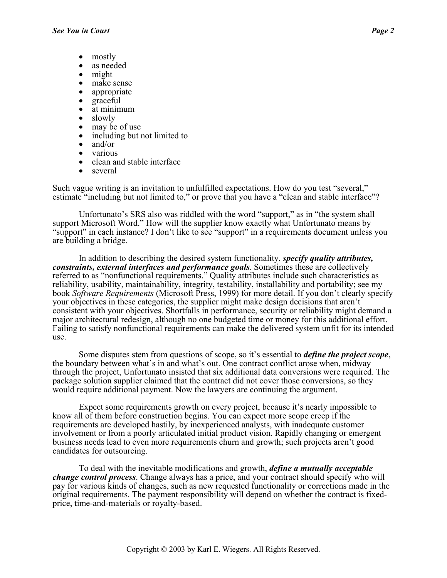- mostly
- as needed
- might
- 
- 
- 
- 
- 
- 
- make sense<br>
appropriate<br>
graceful<br>
at minimum<br>
slowly<br>
may be of use<br>
including but not limited to<br>
and/or<br>
various<br>
clean and stable interface<br>
several
- 
- 
- 
- 

Such vague writing is an invitation to unfulfilled expectations. How do you test "several," estimate "including but not limited to," or prove that you have a "clean and stable interface"?

Unfortunato's SRS also was riddled with the word "support," as in "the system shall support Microsoft Word." How will the supplier know exactly what Unfortunato means by "support" in each instance? I don't like to see "support" in a requirements document unless you are building a bridge.

In addition to describing the desired system functionality, *specify quality attributes, constraints, external interfaces and performance goals*. Sometimes these are collectively referred to as "nonfunctional requirements." Quality attributes include such characteristics as reliability, usability, maintainability, integrity, testability, installability and portability; see my book *Software Requirements* (Microsoft Press, 1999) for more detail. If you don't clearly specify your objectives in these categories, the supplier might make design decisions that aren't consistent with your objectives. Shortfalls in performance, security or reliability might demand a major architectural redesign, although no one budgeted time or money for this additional effort. Failing to satisfy nonfunctional requirements can make the delivered system unfit for its intended use.

Some disputes stem from questions of scope, so it's essential to *define the project scope*, the boundary between what's in and what's out. One contract conflict arose when, midway through the project, Unfortunato insisted that six additional data conversions were required. The package solution supplier claimed that the contract did not cover those conversions, so they would require additional payment. Now the lawyers are continuing the argument.

Expect some requirements growth on every project, because it's nearly impossible to know all of them before construction begins. You can expect more scope creep if the requirements are developed hastily, by inexperienced analysts, with inadequate customer involvement or from a poorly articulated initial product vision. Rapidly changing or emergent business needs lead to even more requirements churn and growth; such projects aren't good candidates for outsourcing.

To deal with the inevitable modifications and growth, *define a mutually acceptable change control process*. Change always has a price, and your contract should specify who will pay for various kinds of changes, such as new requested functionality or corrections made in the original requirements. The payment responsibility will depend on whether the contract is fixedprice, time-and-materials or royalty-based.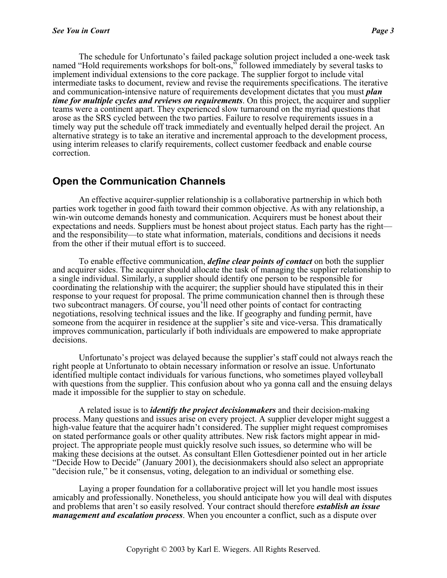The schedule for Unfortunato's failed package solution project included a one-week task named "Hold requirements workshops for bolt-ons," followed immediately by several tasks to implement individual extensions to the core package. The supplier forgot to include vital intermediate tasks to document, review and revise the requirements specifications. The iterative and communication-intensive nature of requirements development dictates that you must *plan time for multiple cycles and reviews on requirements*. On this project, the acquirer and supplier teams were a continent apart. They experienced slow turnaround on the myriad questions that arose as the SRS cycled between the two parties. Failure to resolve requirements issues in a timely way put the schedule off track immediately and eventually helped derail the project. An alternative strategy is to take an iterative and incremental approach to the development process, using interim releases to clarify requirements, collect customer feedback and enable course correction.

#### **Open the Communication Channels**

An effective acquirer-supplier relationship is a collaborative partnership in which both parties work together in good faith toward their common objective. As with any relationship, a win-win outcome demands honesty and communication. Acquirers must be honest about their expectations and needs. Suppliers must be honest about project status. Each party has the right and the responsibility—to state what information, materials, conditions and decisions it needs from the other if their mutual effort is to succeed.

To enable effective communication, *define clear points of contact* on both the supplier and acquirer sides. The acquirer should allocate the task of managing the supplier relationship to a single individual. Similarly, a supplier should identify one person to be responsible for coordinating the relationship with the acquirer; the supplier should have stipulated this in their response to your request for proposal. The prime communication channel then is through these two subcontract managers. Of course, you'll need other points of contact for contracting negotiations, resolving technical issues and the like. If geography and funding permit, have someone from the acquirer in residence at the supplier's site and vice-versa. This dramatically improves communication, particularly if both individuals are empowered to make appropriate decisions.

Unfortunato's project was delayed because the supplier's staff could not always reach the right people at Unfortunato to obtain necessary information or resolve an issue. Unfortunato identified multiple contact individuals for various functions, who sometimes played volleyball with questions from the supplier. This confusion about who ya gonna call and the ensuing delays made it impossible for the supplier to stay on schedule.

A related issue is to *identify the project decisionmakers* and their decision-making process. Many questions and issues arise on every project. A supplier developer might suggest a high-value feature that the acquirer hadn't considered. The supplier might request compromises on stated performance goals or other quality attributes. New risk factors might appear in midproject. The appropriate people must quickly resolve such issues, so determine who will be making these decisions at the outset. As consultant Ellen Gottesdiener pointed out in her article "Decide How to Decide" (January 2001), the decisionmakers should also select an appropriate "decision rule," be it consensus, voting, delegation to an individual or something else.

Laying a proper foundation for a collaborative project will let you handle most issues amicably and professionally. Nonetheless, you should anticipate how you will deal with disputes and problems that aren't so easily resolved. Your contract should therefore *establish an issue management and escalation process*. When you encounter a conflict, such as a dispute over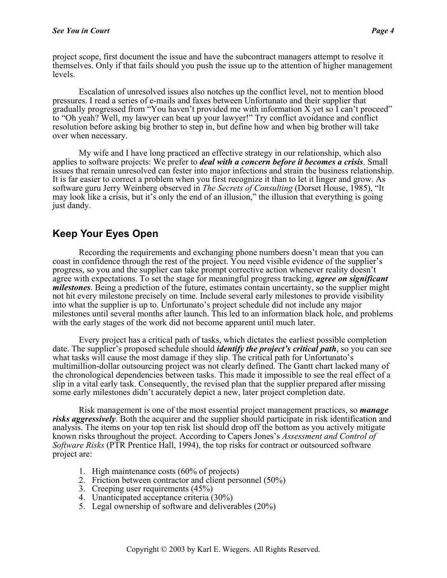project scope, first document the issue and have the subcontract managers attempt to resolve it themselves. Only if that fails should you push the issue up to the attention of higher management levels.

Escalation of unresolved issues also notches up the conflict level, not to mention blood pressures. I read a series of e-mails and faxes between Unfortunato and their supplier that gradually progressed from "You haven't provided me with information X yet so I can't proceed" to "Oh yeah? Well, my lawyer can beat up your lawyer!" Try conflict avoidance and conflict resolution before asking big brother to step in, but define how and when big brother will take over when necessary.

My wife and I have long practiced an effective strategy in our relationship, which also applies to software projects: We prefer to *deal with a concern before it becomes a crisis*. Small issues that remain unresolved can fester into major infections and strain the business relationship. It is far easier to correct a problem when you first recognize it than to let it linger and grow. As software guru Jerry Weinberg observed in *The Secrets of Consulting* (Dorset House, 1985), "It may look like a crisis, but it's only the end of an illusion," the illusion that everything is going just dandy.

## **Keep Your Eyes Open**

Recording the requirements and exchanging phone numbers doesn't mean that you can coast in confidence through the rest of the project. You need visible evidence of the supplier's progress, so you and the supplier can take prompt corrective action whenever reality doesn't agree with expectations. To set the stage for meaningful progress tracking, *agree on significant milestones*. Being a prediction of the future, estimates contain uncertainty, so the supplier might not hit every milestone precisely on time. Include several early milestones to provide visibility into what the supplier is up to. Unfortunato's project schedule did not include any major milestones until several months after launch. This led to an information black hole, and problems with the early stages of the work did not become apparent until much later.

Every project has a critical path of tasks, which dictates the earliest possible completion date. The supplier's proposed schedule should *identify the project's critical path*, so you can see what tasks will cause the most damage if they slip. The critical path for Unfortunato's multimillion-dollar outsourcing project was not clearly defined. The Gantt chart lacked many of the chronological dependencies between tasks. This made it impossible to see the real effect of a slip in a vital early task. Consequently, the revised plan that the supplier prepared after missing some early milestones didn't accurately depict a new, later project completion date.

Risk management is one of the most essential project management practices, so *manage risks aggressively*. Both the acquirer and the supplier should participate in risk identification and analysis. The items on your top ten risk list should drop off the bottom as you actively mitigate known risks throughout the project. According to Capers Jones's *Assessment and Control of Software Risks* (PTR Prentice Hall, 1994), the top risks for contract or outsourced software project are:

- 1. High maintenance costs (60% of projects)
- 2. Friction between contractor and client personnel (50%)
- 3. Creeping user requirements (45%)
- 4. Unanticipated acceptance criteria (30%)
- 5. Legal ownership of software and deliverables (20%)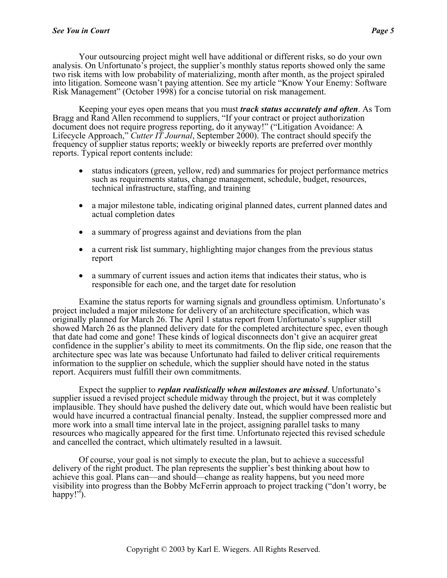Your outsourcing project might well have additional or different risks, so do your own analysis. On Unfortunato's project, the supplier's monthly status reports showed only the same two risk items with low probability of materializing, month after month, as the project spiraled into litigation. Someone wasn't paying attention. See my article "Know Your Enemy: Software Risk Management" (October 1998) for a concise tutorial on risk management.

Keeping your eyes open means that you must *track status accurately and often*. As Tom Bragg and Rand Allen recommend to suppliers, "If your contract or project authorization document does not require progress reporting, do it anyway!" ("Litigation Avoidance: A Lifecycle Approach," *Cutter IT Journal*, September 2000). The contract should specify the frequency of supplier status reports; weekly or biweekly reports are preferred over monthly reports. Typical report contents include:

- status indicators (green, yellow, red) and summaries for project performance metrics such as requirements status, change management, schedule, budget, resources, technical infrastructure, staffing, and training
- a major milestone table, indicating original planned dates, current planned dates and actual completion dates
- a summary of progress against and deviations from the plan
- a current risk list summary, highlighting major changes from the previous status report
- a summary of current issues and action items that indicates their status, who is responsible for each one, and the target date for resolution

Examine the status reports for warning signals and groundless optimism. Unfortunato's project included a major milestone for delivery of an architecture specification, which was originally planned for March 26. The April 1 status report from Unfortunato's supplier still showed March 26 as the planned delivery date for the completed architecture spec, even though that date had come and gone! These kinds of logical disconnects don't give an acquirer great confidence in the supplier's ability to meet its commitments. On the flip side, one reason that the architecture spec was late was because Unfortunato had failed to deliver critical requirements information to the supplier on schedule, which the supplier should have noted in the status report. Acquirers must fulfill their own commitments.

Expect the supplier to *replan realistically when milestones are missed*. Unfortunato's supplier issued a revised project schedule midway through the project, but it was completely implausible. They should have pushed the delivery date out, which would have been realistic but would have incurred a contractual financial penalty. Instead, the supplier compressed more and more work into a small time interval late in the project, assigning parallel tasks to many resources who magically appeared for the first time. Unfortunato rejected this revised schedule and cancelled the contract, which ultimately resulted in a lawsuit.

Of course, your goal is not simply to execute the plan, but to achieve a successful delivery of the right product. The plan represents the supplier's best thinking about how to achieve this goal. Plans can—and should—change as reality happens, but you need more visibility into progress than the Bobby McFerrin approach to project tracking ("don't worry, be happy!").